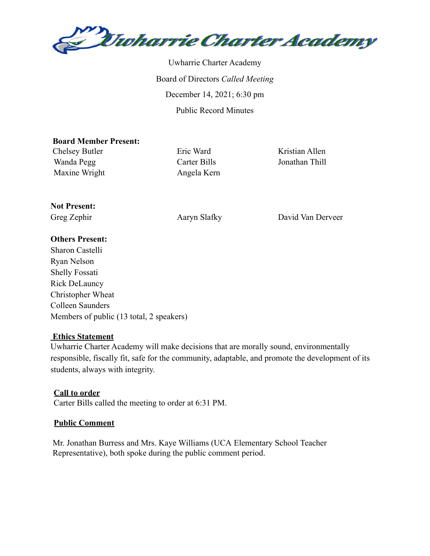

Uwharrie Charter Academy Board of Directors *Called Meeting* December 14, 2021; 6:30 pm Public Record Minutes

#### **Board Member Present:**

Chelsey Butler Eric Ward Kristian Allen Wanda Pegg Carter Bills Jonathan Thill Maxine Wright Angela Kern

# **Not Present:**

Greg Zephir Aaryn Slafky David Van Derveer

## **Others Present:**

Sharon Castelli Ryan Nelson Shelly Fossati Rick DeLauncy Christopher Wheat Colleen Saunders Members of public (13 total, 2 speakers)

#### **Ethics Statement**

Uwharrie Charter Academy will make decisions that are morally sound, environmentally responsible, fiscally fit, safe for the community, adaptable, and promote the development of its students, always with integrity.

#### **Call to order**

Carter Bills called the meeting to order at 6:31 PM.

#### **Public Comment**

Mr. Jonathan Burress and Mrs. Kaye Williams (UCA Elementary School Teacher Representative), both spoke during the public comment period.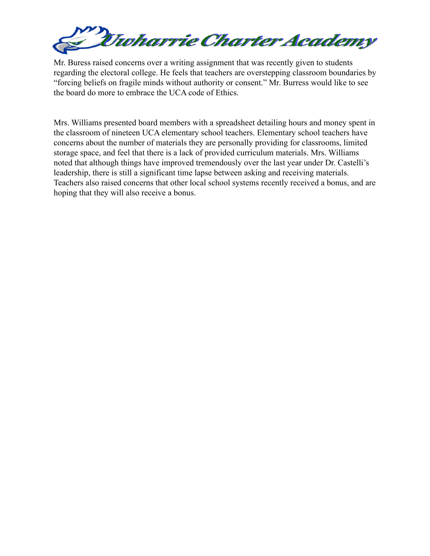

Mr. Buress raised concerns over a writing assignment that was recently given to students regarding the electoral college. He feels that teachers are overstepping classroom boundaries by "forcing beliefs on fragile minds without authority or consent." Mr. Burress would like to see the board do more to embrace the UCA code of Ethics.

Mrs. Williams presented board members with a spreadsheet detailing hours and money spent in the classroom of nineteen UCA elementary school teachers. Elementary school teachers have concerns about the number of materials they are personally providing for classrooms, limited storage space, and feel that there is a lack of provided curriculum materials. Mrs. Williams noted that although things have improved tremendously over the last year under Dr. Castelli's leadership, there is still a significant time lapse between asking and receiving materials. Teachers also raised concerns that other local school systems recently received a bonus, and are hoping that they will also receive a bonus.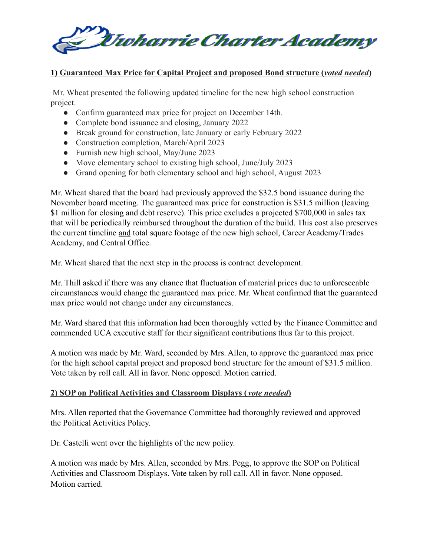

### **1) Guaranteed Max Price for Capital Project and proposed Bond structure (***voted needed***)**

Mr. Wheat presented the following updated timeline for the new high school construction project.

- Confirm guaranteed max price for project on December 14th.
- Complete bond issuance and closing, January 2022
- Break ground for construction, late January or early February 2022
- Construction completion, March/April 2023
- Furnish new high school, May/June 2023
- Move elementary school to existing high school, June/July 2023
- Grand opening for both elementary school and high school, August 2023

Mr. Wheat shared that the board had previously approved the \$32.5 bond issuance during the November board meeting. The guaranteed max price for construction is \$31.5 million (leaving \$1 million for closing and debt reserve). This price excludes a projected \$700,000 in sales tax that will be periodically reimbursed throughout the duration of the build. This cost also preserves the current timeline and total square footage of the new high school, Career Academy/Trades Academy, and Central Office.

Mr. Wheat shared that the next step in the process is contract development.

Mr. Thill asked if there was any chance that fluctuation of material prices due to unforeseeable circumstances would change the guaranteed max price. Mr. Wheat confirmed that the guaranteed max price would not change under any circumstances.

Mr. Ward shared that this information had been thoroughly vetted by the Finance Committee and commended UCA executive staff for their significant contributions thus far to this project.

A motion was made by Mr. Ward, seconded by Mrs. Allen, to approve the guaranteed max price for the high school capital project and proposed bond structure for the amount of \$31.5 million. Vote taken by roll call. All in favor. None opposed. Motion carried.

#### **2) SOP on Political Activities and Classroom Displays (** *vote needed***)**

Mrs. Allen reported that the Governance Committee had thoroughly reviewed and approved the Political Activities Policy.

Dr. Castelli went over the highlights of the new policy.

A motion was made by Mrs. Allen, seconded by Mrs. Pegg, to approve the SOP on Political Activities and Classroom Displays. Vote taken by roll call. All in favor. None opposed. Motion carried.